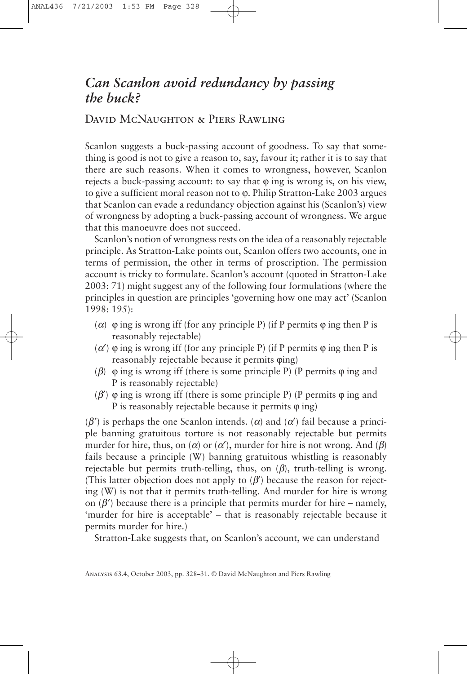## *Can Scanlon avoid redundancy by passing the buck?*

## David McNaughton & Piers Rawling

Scanlon suggests a buck-passing account of goodness. To say that something is good is not to give a reason to, say, favour it; rather it is to say that there are such reasons. When it comes to wrongness, however, Scanlon rejects a buck-passing account: to say that  $\varphi$  ing is wrong is, on his view, to give a sufficient moral reason not to  $\varphi$ . Philip Stratton-Lake 2003 argues that Scanlon can evade a redundancy objection against his (Scanlon's) view of wrongness by adopting a buck-passing account of wrongness. We argue that this manoeuvre does not succeed.

Scanlon's notion of wrongness rests on the idea of a reasonably rejectable principle. As Stratton-Lake points out, Scanlon offers two accounts, one in terms of permission, the other in terms of proscription. The permission account is tricky to formulate. Scanlon's account (quoted in Stratton-Lake 2003: 71) might suggest any of the following four formulations (where the principles in question are principles 'governing how one may act' (Scanlon 1998: 195):

- ( $\alpha$ )  $\varphi$  ing is wrong iff (for any principle P) (if P permits  $\varphi$  ing then P is reasonably rejectable)
- ( $\alpha'$ )  $\varphi$  ing is wrong iff (for any principle P) (if P permits  $\varphi$  ing then P is reasonably rejectable because it permits  $\varphi$ ing)
- ( $\beta$ )  $\varphi$  ing is wrong iff (there is some principle P) (P permits  $\varphi$  ing and P is reasonably rejectable)
- ( $\beta'$ )  $\varphi$  ing is wrong iff (there is some principle P) (P permits  $\varphi$  ing and P is reasonably rejectable because it permits  $\varphi$  ing)

 $(\beta')$  is perhaps the one Scanlon intends. ( $\alpha$ ) and ( $\alpha'$ ) fail because a principle banning gratuitous torture is not reasonably rejectable but permits murder for hire, thus, on  $(\alpha)$  or  $(\alpha')$ , murder for hire is not wrong. And  $(\beta)$ fails because a principle (W) banning gratuitous whistling is reasonably rejectable but permits truth-telling, thus, on  $(\beta)$ , truth-telling is wrong. (This latter objection does not apply to  $(\beta')$  because the reason for rejecting (W) is not that it permits truth-telling. And murder for hire is wrong on  $(\beta')$  because there is a principle that permits murder for hire – namely, 'murder for hire is acceptable' – that is reasonably rejectable because it permits murder for hire.)

Stratton-Lake suggests that, on Scanlon's account, we can understand

Analysis 63.4, October 2003, pp. 328–31. © David McNaughton and Piers Rawling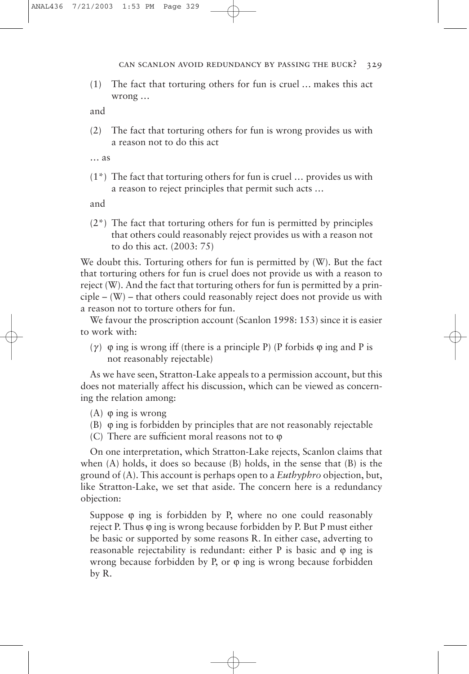can scanlon avoid redundancy by passing the buck? 329

(1) The fact that torturing others for fun is cruel … makes this act wrong …

and

(2) The fact that torturing others for fun is wrong provides us with a reason not to do this act

… as

(1\*) The fact that torturing others for fun is cruel … provides us with a reason to reject principles that permit such acts …

and

(2\*) The fact that torturing others for fun is permitted by principles that others could reasonably reject provides us with a reason not to do this act. (2003: 75)

We doubt this. Torturing others for fun is permitted by (W). But the fact that torturing others for fun is cruel does not provide us with a reason to reject (W). And the fact that torturing others for fun is permitted by a prin- $\text{circle} - (\text{W})$  – that others could reasonably reject does not provide us with a reason not to torture others for fun.

We favour the proscription account (Scanlon 1998: 153) since it is easier to work with:

( $\gamma$ )  $\varphi$  ing is wrong iff (there is a principle P) (P forbids  $\varphi$  ing and P is not reasonably rejectable)

As we have seen, Stratton-Lake appeals to a permission account, but this does not materially affect his discussion, which can be viewed as concerning the relation among:

(A)  $\varphi$  ing is wrong

- (B)  $\varphi$  ing is forbidden by principles that are not reasonably rejectable
- (C) There are sufficient moral reasons not to  $\varphi$

On one interpretation, which Stratton-Lake rejects, Scanlon claims that when (A) holds, it does so because (B) holds, in the sense that (B) is the ground of (A). This account is perhaps open to a *Euthyphro* objection, but, like Stratton-Lake, we set that aside. The concern here is a redundancy objection:

Suppose  $\varphi$  ing is forbidden by P, where no one could reasonably reject P. Thus  $\varphi$  ing is wrong because forbidden by P. But P must either be basic or supported by some reasons R. In either case, adverting to reasonable rejectability is redundant: either  $P$  is basic and  $\varphi$  ing is wrong because forbidden by P, or  $\varphi$  ing is wrong because forbidden by R.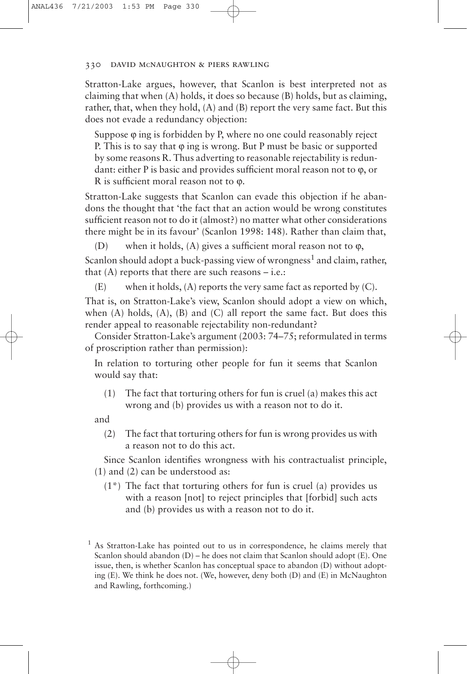## 330 david mcnaughton & piers rawling

Stratton-Lake argues, however, that Scanlon is best interpreted not as claiming that when (A) holds, it does so because (B) holds, but as claiming, rather, that, when they hold, (A) and (B) report the very same fact. But this does not evade a redundancy objection:

Suppose  $\varphi$  ing is forbidden by P, where no one could reasonably reject P. This is to say that  $\varphi$  ing is wrong. But P must be basic or supported by some reasons R. Thus adverting to reasonable rejectability is redundant: either P is basic and provides sufficient moral reason not to  $\varphi$ , or R is sufficient moral reason not to  $\varphi$ .

Stratton-Lake suggests that Scanlon can evade this objection if he abandons the thought that 'the fact that an action would be wrong constitutes sufficient reason not to do it (almost?) no matter what other considerations there might be in its favour' (Scanlon 1998: 148). Rather than claim that,

(D) when it holds,  $(A)$  gives a sufficient moral reason not to  $\varphi$ , Scanlon should adopt a buck-passing view of wrongness<sup>1</sup> and claim, rather, that  $(A)$  reports that there are such reasons  $-i.e.:$ 

 $(E)$  when it holds,  $(A)$  reports the very same fact as reported by  $(C)$ .

That is, on Stratton-Lake's view, Scanlon should adopt a view on which, when  $(A)$  holds,  $(A)$ ,  $(B)$  and  $(C)$  all report the same fact. But does this render appeal to reasonable rejectability non-redundant?

Consider Stratton-Lake's argument (2003: 74–75; reformulated in terms of proscription rather than permission):

In relation to torturing other people for fun it seems that Scanlon would say that:

(1) The fact that torturing others for fun is cruel (a) makes this act wrong and (b) provides us with a reason not to do it.

and

(2) The fact that torturing others for fun is wrong provides us with a reason not to do this act.

Since Scanlon identifies wrongness with his contractualist principle, (1) and (2) can be understood as:

(1\*) The fact that torturing others for fun is cruel (a) provides us with a reason [not] to reject principles that [forbid] such acts and (b) provides us with a reason not to do it.

<sup>&</sup>lt;sup>1</sup> As Stratton-Lake has pointed out to us in correspondence, he claims merely that Scanlon should abandon (D) – he does not claim that Scanlon should adopt (E). One issue, then, is whether Scanlon has conceptual space to abandon (D) without adopting (E). We think he does not. (We, however, deny both (D) and (E) in McNaughton and Rawling, forthcoming.)